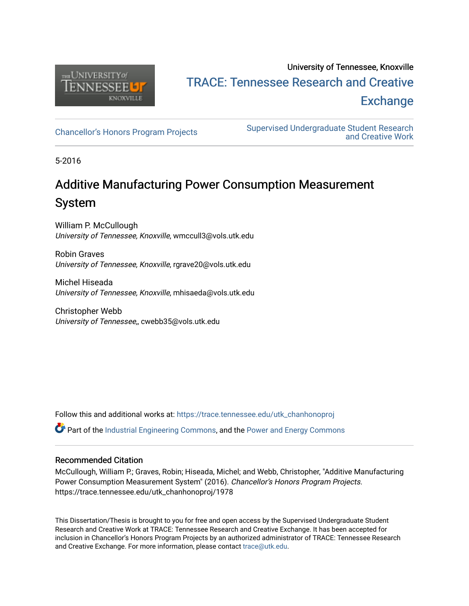

## University of Tennessee, Knoxville TRACE: T[ennessee Research and Cr](https://trace.tennessee.edu/)eative **Exchange**

[Chancellor's Honors Program Projects](https://trace.tennessee.edu/utk_chanhonoproj) Supervised Undergraduate Student Research [and Creative Work](https://trace.tennessee.edu/utk_supug) 

5-2016

## Additive Manufacturing Power Consumption Measurement System

William P. McCullough University of Tennessee, Knoxville, wmccull3@vols.utk.edu

Robin Graves University of Tennessee, Knoxville, rgrave20@vols.utk.edu

Michel Hiseada University of Tennessee, Knoxville, mhisaeda@vols.utk.edu

Christopher Webb University of Tennessee,, cwebb35@vols.utk.edu

Follow this and additional works at: [https://trace.tennessee.edu/utk\\_chanhonoproj](https://trace.tennessee.edu/utk_chanhonoproj?utm_source=trace.tennessee.edu%2Futk_chanhonoproj%2F1978&utm_medium=PDF&utm_campaign=PDFCoverPages) 

Part of the [Industrial Engineering Commons](http://network.bepress.com/hgg/discipline/307?utm_source=trace.tennessee.edu%2Futk_chanhonoproj%2F1978&utm_medium=PDF&utm_campaign=PDFCoverPages), and the [Power and Energy Commons](http://network.bepress.com/hgg/discipline/274?utm_source=trace.tennessee.edu%2Futk_chanhonoproj%2F1978&utm_medium=PDF&utm_campaign=PDFCoverPages) 

#### Recommended Citation

McCullough, William P.; Graves, Robin; Hiseada, Michel; and Webb, Christopher, "Additive Manufacturing Power Consumption Measurement System" (2016). Chancellor's Honors Program Projects. https://trace.tennessee.edu/utk\_chanhonoproj/1978

This Dissertation/Thesis is brought to you for free and open access by the Supervised Undergraduate Student Research and Creative Work at TRACE: Tennessee Research and Creative Exchange. It has been accepted for inclusion in Chancellor's Honors Program Projects by an authorized administrator of TRACE: Tennessee Research and Creative Exchange. For more information, please contact [trace@utk.edu](mailto:trace@utk.edu).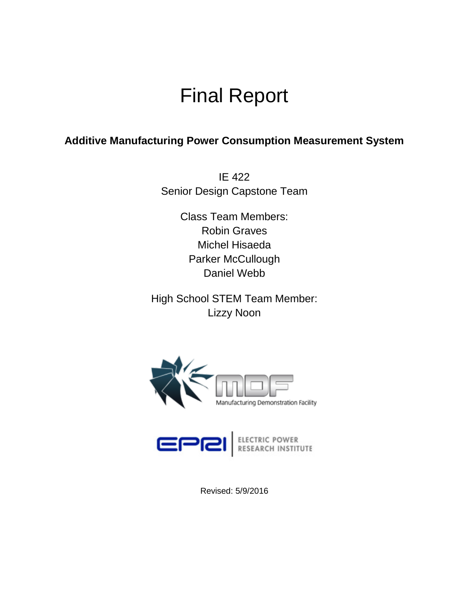# Final Report

### **Additive Manufacturing Power Consumption Measurement System**

IE 422 Senior Design Capstone Team

> Class Team Members: Robin Graves Michel Hisaeda Parker McCullough Daniel Webb

High School STEM Team Member: Lizzy Noon



Revised: 5/9/2016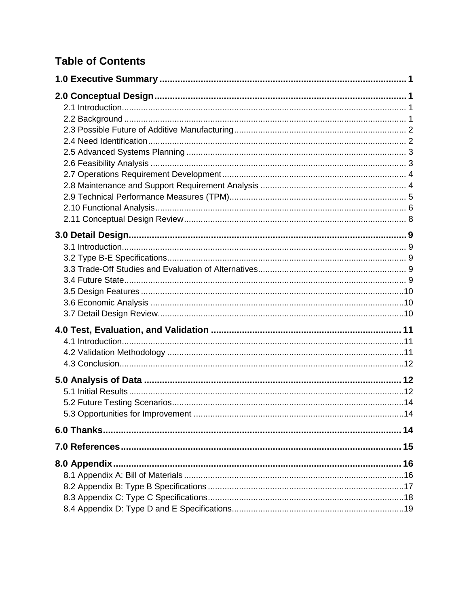## **Table of Contents**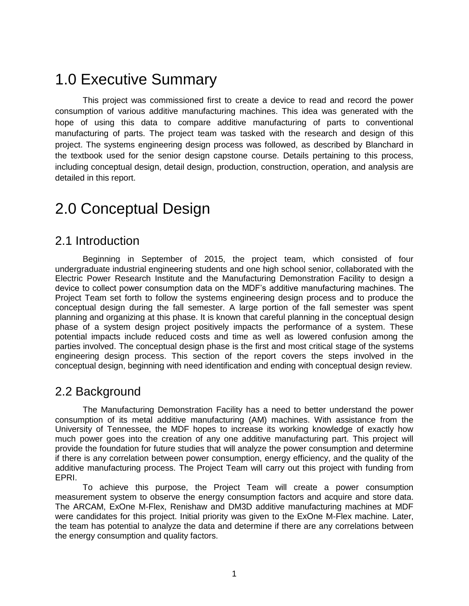## 1.0 Executive Summary

This project was commissioned first to create a device to read and record the power consumption of various additive manufacturing machines. This idea was generated with the hope of using this data to compare additive manufacturing of parts to conventional manufacturing of parts. The project team was tasked with the research and design of this project. The systems engineering design process was followed, as described by Blanchard in the textbook used for the senior design capstone course. Details pertaining to this process, including conceptual design, detail design, production, construction, operation, and analysis are detailed in this report.

## 2.0 Conceptual Design

### 2.1 Introduction

Beginning in September of 2015, the project team, which consisted of four undergraduate industrial engineering students and one high school senior, collaborated with the Electric Power Research Institute and the Manufacturing Demonstration Facility to design a device to collect power consumption data on the MDF's additive manufacturing machines. The Project Team set forth to follow the systems engineering design process and to produce the conceptual design during the fall semester. A large portion of the fall semester was spent planning and organizing at this phase. It is known that careful planning in the conceptual design phase of a system design project positively impacts the performance of a system. These potential impacts include reduced costs and time as well as lowered confusion among the parties involved. The conceptual design phase is the first and most critical stage of the systems engineering design process. This section of the report covers the steps involved in the conceptual design, beginning with need identification and ending with conceptual design review.

### 2.2 Background

The Manufacturing Demonstration Facility has a need to better understand the power consumption of its metal additive manufacturing (AM) machines. With assistance from the University of Tennessee, the MDF hopes to increase its working knowledge of exactly how much power goes into the creation of any one additive manufacturing part. This project will provide the foundation for future studies that will analyze the power consumption and determine if there is any correlation between power consumption, energy efficiency, and the quality of the additive manufacturing process. The Project Team will carry out this project with funding from EPRI.

To achieve this purpose, the Project Team will create a power consumption measurement system to observe the energy consumption factors and acquire and store data. The ARCAM, ExOne M-Flex, Renishaw and DM3D additive manufacturing machines at MDF were candidates for this project. Initial priority was given to the ExOne M-Flex machine. Later, the team has potential to analyze the data and determine if there are any correlations between the energy consumption and quality factors.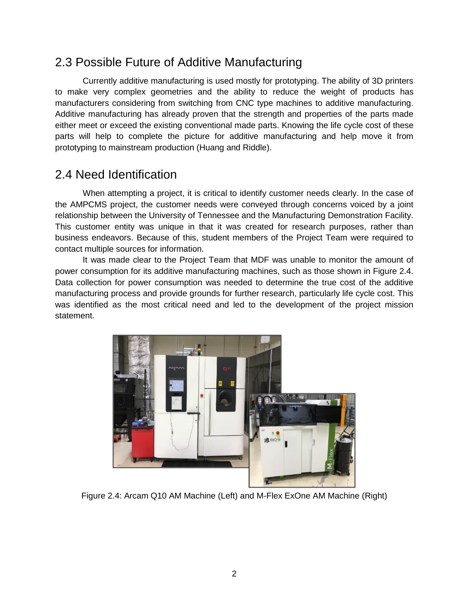## 2.3 Possible Future of Additive Manufacturing

Currently additive manufacturing is used mostly for prototyping. The ability of 3D printers to make very complex geometries and the ability to reduce the weight of products has manufacturers considering from switching from CNC type machines to additive manufacturing. Additive manufacturing has already proven that the strength and properties of the parts made either meet or exceed the existing conventional made parts. Knowing the life cycle cost of these parts will help to complete the picture for additive manufacturing and help move it from prototyping to mainstream production (Huang and Riddle).

## 2.4 Need Identification

When attempting a project, it is critical to identify customer needs clearly. In the case of the AMPCMS project, the customer needs were conveyed through concerns voiced by a joint relationship between the University of Tennessee and the Manufacturing Demonstration Facility. This customer entity was unique in that it was created for research purposes, rather than business endeavors. Because of this, student members of the Project Team were required to contact multiple sources for information.

It was made clear to the Project Team that MDF was unable to monitor the amount of power consumption for its additive manufacturing machines, such as those shown in Figure 2.4. Data collection for power consumption was needed to determine the true cost of the additive manufacturing process and provide grounds for further research, particularly life cycle cost. This was identified as the most critical need and led to the development of the project mission statement.



Figure 2.4: Arcam Q10 AM Machine (Left) and M-Flex ExOne AM Machine (Right)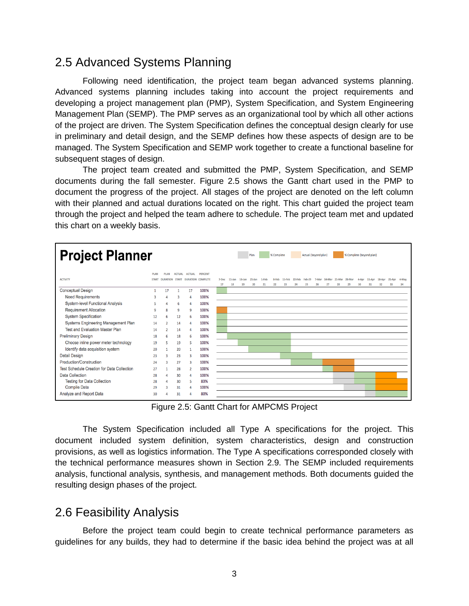### 2.5 Advanced Systems Planning

Following need identification, the project team began advanced systems planning. Advanced systems planning includes taking into account the project requirements and developing a project management plan (PMP), System Specification, and System Engineering Management Plan (SEMP). The PMP serves as an organizational tool by which all other actions of the project are driven. The System Specification defines the conceptual design clearly for use in preliminary and detail design, and the SEMP defines how these aspects of design are to be managed. The System Specification and SEMP work together to create a functional baseline for subsequent stages of design.

The project team created and submitted the PMP, System Specification, and SEMP documents during the fall semester. Figure 2.5 shows the Gantt chart used in the PMP to document the progress of the project. All stages of the project are denoted on the left column with their planned and actual durations located on the right. This chart guided the project team through the project and helped the team adhere to schedule. The project team met and updated this chart on a weekly basis.

| <b>Project Planner</b><br>% Complete (beyond plan)<br>Plan<br>% Complete<br>Actual (beyond plan) |                              |                                |                               |                |                                            |             |                 |                 |                 |             |             |              |              |                     |    |    |                                  |    |             |              |              |              |             |
|--------------------------------------------------------------------------------------------------|------------------------------|--------------------------------|-------------------------------|----------------|--------------------------------------------|-------------|-----------------|-----------------|-----------------|-------------|-------------|--------------|--------------|---------------------|----|----|----------------------------------|----|-------------|--------------|--------------|--------------|-------------|
| <b>ACTIVITY</b>                                                                                  | <b>PI AN</b><br><b>START</b> | <b>PLAN</b><br><b>DURATION</b> | <b>ACTUAL</b><br><b>START</b> | <b>ACTUAL</b>  | <b>PERCENT</b><br><b>DURATION COMPLETE</b> | 7-Dec<br>17 | $11$ -Jan<br>18 | $18$ -Jan<br>19 | $25$ -Jan<br>20 | 1-Feb<br>21 | 8-Feb<br>22 | 15-Feb<br>23 | 22-Feb<br>24 | <b>Feb-29</b><br>25 | 26 | 27 | 7-Mar 14-Mar 21-Mar 28-Mar<br>28 | 29 | 4-Apr<br>30 | 11-Apr<br>31 | 18-Apr<br>32 | 25-Apr<br>33 | 4-May<br>34 |
| <b>Conceptual Design</b>                                                                         |                              | 17                             |                               | 17             | 100%                                       |             |                 |                 |                 |             |             |              |              |                     |    |    |                                  |    |             |              |              |              |             |
| <b>Need Requirements</b>                                                                         | 3                            |                                |                               |                | 100%                                       |             |                 |                 |                 |             |             |              |              |                     |    |    |                                  |    |             |              |              |              |             |
| <b>System-level Functional Analysis</b>                                                          | 5                            |                                | 6                             | 4              | 100%                                       |             |                 |                 |                 |             |             |              |              |                     |    |    |                                  |    |             |              |              |              |             |
| <b>Requirement Allocation</b>                                                                    | q                            | 8                              | q                             | 9              | 100%                                       |             |                 |                 |                 |             |             |              |              |                     |    |    |                                  |    |             |              |              |              |             |
| <b>System Specification</b>                                                                      | 12                           | 6                              | 12                            | 6              | 100%                                       |             |                 |                 |                 |             |             |              |              |                     |    |    |                                  |    |             |              |              |              |             |
| Systems Engineering Management Plan                                                              | 14                           | $\overline{2}$                 | 14                            | Δ              | 100%                                       |             |                 |                 |                 |             |             |              |              |                     |    |    |                                  |    |             |              |              |              |             |
| <b>Test and Evaluation Master Plan</b>                                                           | 14                           | $\overline{2}$                 | 14                            | 4              | 100%                                       |             |                 |                 |                 |             |             |              |              |                     |    |    |                                  |    |             |              |              |              |             |
| <b>Preliminary Design</b>                                                                        | 18                           | 6                              | 18                            | 6              | 100%                                       |             |                 |                 |                 |             |             |              |              |                     |    |    |                                  |    |             |              |              |              |             |
| Choose inline power meter technology                                                             | 19                           | 5                              | 19                            | 5              | 100%                                       |             |                 |                 |                 |             |             |              |              |                     |    |    |                                  |    |             |              |              |              |             |
| Identify data acquisition system                                                                 | 20                           |                                | 20                            | $\mathbf{1}$   | 100%                                       |             |                 |                 |                 |             |             |              |              |                     |    |    |                                  |    |             |              |              |              |             |
| <b>Detail Design</b>                                                                             | 23                           | 3                              | 23                            | 3              | 100%                                       |             |                 |                 |                 |             |             |              |              |                     |    |    |                                  |    |             |              |              |              |             |
| Production/Construction                                                                          | 24                           | ٩                              | 27                            | R              | 100%                                       |             |                 |                 |                 |             |             |              |              |                     |    |    |                                  |    |             |              |              |              |             |
| <b>Test Schedule Creation for Data Collection</b>                                                | 27                           |                                | 28                            | $\overline{2}$ | 100%                                       |             |                 |                 |                 |             |             |              |              |                     |    |    |                                  |    |             |              |              |              |             |
| <b>Data Collection</b>                                                                           | 28                           | Δ                              | 30                            | 4              | 100%                                       |             |                 |                 |                 |             |             |              |              |                     |    |    |                                  |    |             |              |              |              |             |
| <b>Testing for Data Collection</b>                                                               | 28                           |                                | 30                            | 5              | 83%                                        |             |                 |                 |                 |             |             |              |              |                     |    |    |                                  |    |             |              |              |              |             |
| <b>Compile Data</b>                                                                              | 29                           | ٩                              | 31                            |                | 100%                                       |             |                 |                 |                 |             |             |              |              |                     |    |    |                                  |    |             |              |              |              |             |
| Analyze and Report Data                                                                          | 30                           |                                | 31                            |                | 80%                                        |             |                 |                 |                 |             |             |              |              |                     |    |    |                                  |    |             |              |              |              |             |

Figure 2.5: Gantt Chart for AMPCMS Project

The System Specification included all Type A specifications for the project. This document included system definition, system characteristics, design and construction provisions, as well as logistics information. The Type A specifications corresponded closely with the technical performance measures shown in Section 2.9. The SEMP included requirements analysis, functional analysis, synthesis, and management methods. Both documents guided the resulting design phases of the project.

### 2.6 Feasibility Analysis

Before the project team could begin to create technical performance parameters as guidelines for any builds, they had to determine if the basic idea behind the project was at all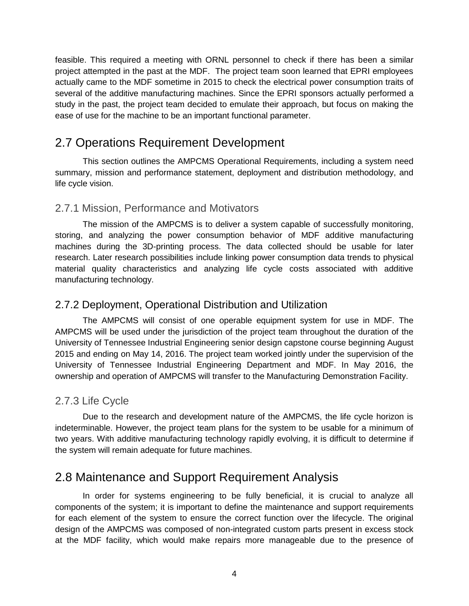feasible. This required a meeting with ORNL personnel to check if there has been a similar project attempted in the past at the MDF. The project team soon learned that EPRI employees actually came to the MDF sometime in 2015 to check the electrical power consumption traits of several of the additive manufacturing machines. Since the EPRI sponsors actually performed a study in the past, the project team decided to emulate their approach, but focus on making the ease of use for the machine to be an important functional parameter.

## 2.7 Operations Requirement Development

This section outlines the AMPCMS Operational Requirements, including a system need summary, mission and performance statement, deployment and distribution methodology, and life cycle vision.

#### 2.7.1 Mission, Performance and Motivators

The mission of the AMPCMS is to deliver a system capable of successfully monitoring, storing, and analyzing the power consumption behavior of MDF additive manufacturing machines during the 3D-printing process. The data collected should be usable for later research. Later research possibilities include linking power consumption data trends to physical material quality characteristics and analyzing life cycle costs associated with additive manufacturing technology.

#### 2.7.2 Deployment, Operational Distribution and Utilization

The AMPCMS will consist of one operable equipment system for use in MDF. The AMPCMS will be used under the jurisdiction of the project team throughout the duration of the University of Tennessee Industrial Engineering senior design capstone course beginning August 2015 and ending on May 14, 2016. The project team worked jointly under the supervision of the University of Tennessee Industrial Engineering Department and MDF. In May 2016, the ownership and operation of AMPCMS will transfer to the Manufacturing Demonstration Facility.

#### 2.7.3 Life Cycle

Due to the research and development nature of the AMPCMS, the life cycle horizon is indeterminable. However, the project team plans for the system to be usable for a minimum of two years. With additive manufacturing technology rapidly evolving, it is difficult to determine if the system will remain adequate for future machines.

## 2.8 Maintenance and Support Requirement Analysis

In order for systems engineering to be fully beneficial, it is crucial to analyze all components of the system; it is important to define the maintenance and support requirements for each element of the system to ensure the correct function over the lifecycle. The original design of the AMPCMS was composed of non-integrated custom parts present in excess stock at the MDF facility, which would make repairs more manageable due to the presence of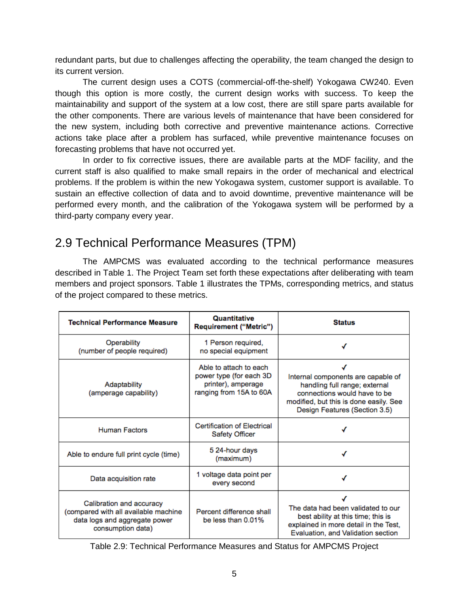redundant parts, but due to challenges affecting the operability, the team changed the design to its current version.

The current design uses a COTS (commercial-off-the-shelf) Yokogawa CW240. Even though this option is more costly, the current design works with success. To keep the maintainability and support of the system at a low cost, there are still spare parts available for the other components. There are various levels of maintenance that have been considered for the new system, including both corrective and preventive maintenance actions. Corrective actions take place after a problem has surfaced, while preventive maintenance focuses on forecasting problems that have not occurred yet.

In order to fix corrective issues, there are available parts at the MDF facility, and the current staff is also qualified to make small repairs in the order of mechanical and electrical problems. If the problem is within the new Yokogawa system, customer support is available. To sustain an effective collection of data and to avoid downtime, preventive maintenance will be performed every month, and the calibration of the Yokogawa system will be performed by a third-party company every year.

## 2.9 Technical Performance Measures (TPM)

The AMPCMS was evaluated according to the technical performance measures described in Table 1. The Project Team set forth these expectations after deliberating with team members and project sponsors. Table 1 illustrates the TPMs, corresponding metrics, and status of the project compared to these metrics.

| <b>Technical Performance Measure</b>                                                                                   | <b>Ouantitative</b><br><b>Requirement ("Metric")</b>                                               | <b>Status</b>                                                                                                                                                                  |  |  |  |  |  |
|------------------------------------------------------------------------------------------------------------------------|----------------------------------------------------------------------------------------------------|--------------------------------------------------------------------------------------------------------------------------------------------------------------------------------|--|--|--|--|--|
| Operability<br>(number of people required)                                                                             | 1 Person required,<br>no special equipment                                                         |                                                                                                                                                                                |  |  |  |  |  |
| Adaptability<br>(amperage capability)                                                                                  | Able to attach to each<br>power type (for each 3D<br>printer), amperage<br>ranging from 15A to 60A | Internal components are capable of<br>handling full range; external<br>connections would have to be<br>modified, but this is done easily. See<br>Design Features (Section 3.5) |  |  |  |  |  |
| <b>Human Factors</b>                                                                                                   | <b>Certification of Electrical</b><br><b>Safety Officer</b>                                        |                                                                                                                                                                                |  |  |  |  |  |
| Able to endure full print cycle (time)                                                                                 | 5 24-hour days<br>(maximum)                                                                        |                                                                                                                                                                                |  |  |  |  |  |
| Data acquisition rate                                                                                                  | 1 voltage data point per<br>every second                                                           |                                                                                                                                                                                |  |  |  |  |  |
| Calibration and accuracy<br>(compared with all available machine<br>data logs and aggregate power<br>consumption data) | Percent difference shall<br>be less than 0.01%                                                     | The data had been validated to our<br>best ability at this time; this is<br>explained in more detail in the Test,<br>Evaluation, and Validation section                        |  |  |  |  |  |

Table 2.9: Technical Performance Measures and Status for AMPCMS Project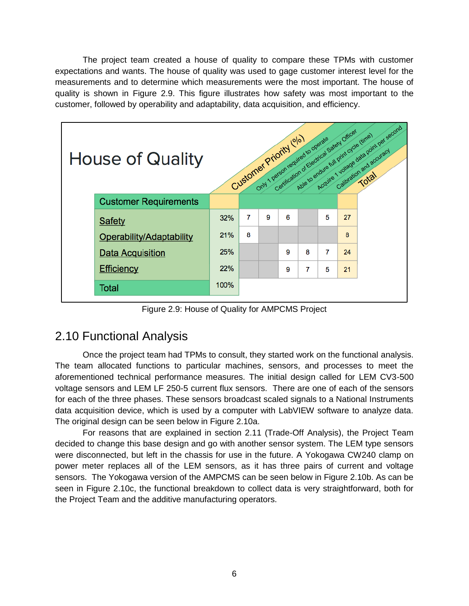The project team created a house of quality to compare these TPMs with customer expectations and wants. The house of quality was used to gage customer interest level for the measurements and to determine which measurements were the most important. The house of quality is shown in Figure 2.9. This figure illustrates how safety was most important to the customer, followed by operability and adaptability, data acquisition, and efficiency.



Figure 2.9: House of Quality for AMPCMS Project

## 2.10 Functional Analysis

Once the project team had TPMs to consult, they started work on the functional analysis. The team allocated functions to particular machines, sensors, and processes to meet the aforementioned technical performance measures. The initial design called for LEM CV3-500 voltage sensors and LEM LF 250-5 current flux sensors. There are one of each of the sensors for each of the three phases. These sensors broadcast scaled signals to a National Instruments data acquisition device, which is used by a computer with LabVIEW software to analyze data. The original design can be seen below in Figure 2.10a.

For reasons that are explained in section 2.11 (Trade-Off Analysis), the Project Team decided to change this base design and go with another sensor system. The LEM type sensors were disconnected, but left in the chassis for use in the future. A Yokogawa CW240 clamp on power meter replaces all of the LEM sensors, as it has three pairs of current and voltage sensors. The Yokogawa version of the AMPCMS can be seen below in Figure 2.10b. As can be seen in Figure 2.10c, the functional breakdown to collect data is very straightforward, both for the Project Team and the additive manufacturing operators.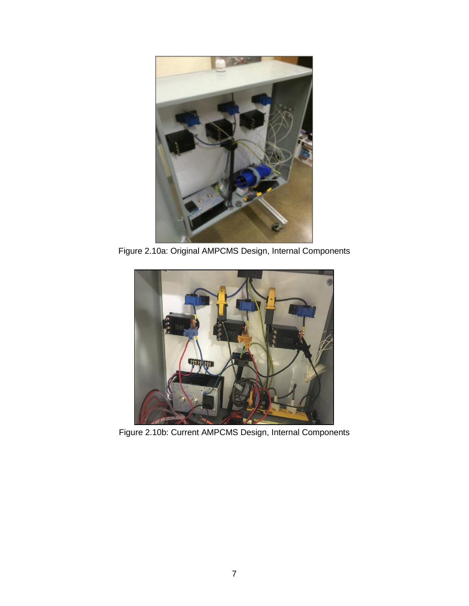

Figure 2.10a: Original AMPCMS Design, Internal Components



Figure 2.10b: Current AMPCMS Design, Internal Components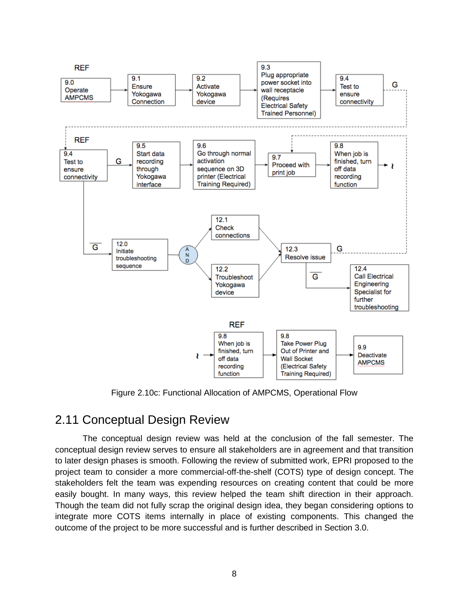

Figure 2.10c: Functional Allocation of AMPCMS, Operational Flow

## 2.11 Conceptual Design Review

The conceptual design review was held at the conclusion of the fall semester. The conceptual design review serves to ensure all stakeholders are in agreement and that transition to later design phases is smooth. Following the review of submitted work, EPRI proposed to the project team to consider a more commercial-off-the-shelf (COTS) type of design concept. The stakeholders felt the team was expending resources on creating content that could be more easily bought. In many ways, this review helped the team shift direction in their approach. Though the team did not fully scrap the original design idea, they began considering options to integrate more COTS items internally in place of existing components. This changed the outcome of the project to be more successful and is further described in Section 3.0.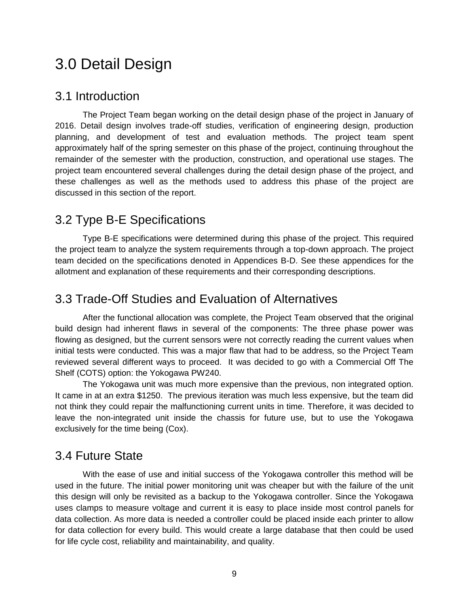## 3.0 Detail Design

#### 3.1 Introduction

The Project Team began working on the detail design phase of the project in January of 2016. Detail design involves trade-off studies, verification of engineering design, production planning, and development of test and evaluation methods. The project team spent approximately half of the spring semester on this phase of the project, continuing throughout the remainder of the semester with the production, construction, and operational use stages. The project team encountered several challenges during the detail design phase of the project, and these challenges as well as the methods used to address this phase of the project are discussed in this section of the report.

### 3.2 Type B-E Specifications

Type B-E specifications were determined during this phase of the project. This required the project team to analyze the system requirements through a top-down approach. The project team decided on the specifications denoted in Appendices B-D. See these appendices for the allotment and explanation of these requirements and their corresponding descriptions.

### 3.3 Trade-Off Studies and Evaluation of Alternatives

After the functional allocation was complete, the Project Team observed that the original build design had inherent flaws in several of the components: The three phase power was flowing as designed, but the current sensors were not correctly reading the current values when initial tests were conducted. This was a major flaw that had to be address, so the Project Team reviewed several different ways to proceed. It was decided to go with a Commercial Off The Shelf (COTS) option: the Yokogawa PW240.

The Yokogawa unit was much more expensive than the previous, non integrated option. It came in at an extra \$1250. The previous iteration was much less expensive, but the team did not think they could repair the malfunctioning current units in time. Therefore, it was decided to leave the non-integrated unit inside the chassis for future use, but to use the Yokogawa exclusively for the time being (Cox).

### 3.4 Future State

With the ease of use and initial success of the Yokogawa controller this method will be used in the future. The initial power monitoring unit was cheaper but with the failure of the unit this design will only be revisited as a backup to the Yokogawa controller. Since the Yokogawa uses clamps to measure voltage and current it is easy to place inside most control panels for data collection. As more data is needed a controller could be placed inside each printer to allow for data collection for every build. This would create a large database that then could be used for life cycle cost, reliability and maintainability, and quality.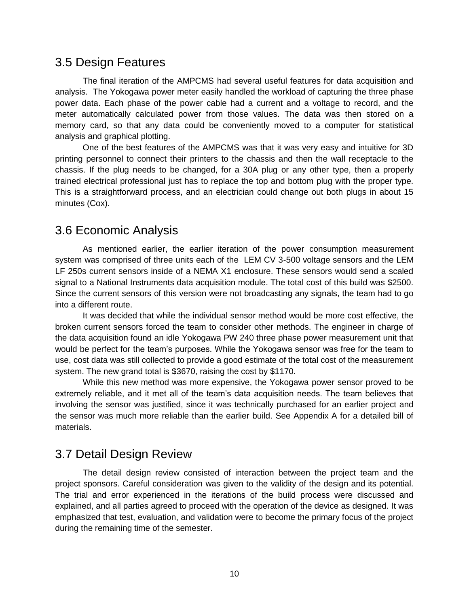#### 3.5 Design Features

The final iteration of the AMPCMS had several useful features for data acquisition and analysis. The Yokogawa power meter easily handled the workload of capturing the three phase power data. Each phase of the power cable had a current and a voltage to record, and the meter automatically calculated power from those values. The data was then stored on a memory card, so that any data could be conveniently moved to a computer for statistical analysis and graphical plotting.

One of the best features of the AMPCMS was that it was very easy and intuitive for 3D printing personnel to connect their printers to the chassis and then the wall receptacle to the chassis. If the plug needs to be changed, for a 30A plug or any other type, then a properly trained electrical professional just has to replace the top and bottom plug with the proper type. This is a straightforward process, and an electrician could change out both plugs in about 15 minutes (Cox).

### 3.6 Economic Analysis

As mentioned earlier, the earlier iteration of the power consumption measurement system was comprised of three units each of the LEM CV 3-500 voltage sensors and the LEM LF 250s current sensors inside of a NEMA X1 enclosure. These sensors would send a scaled signal to a National Instruments data acquisition module. The total cost of this build was \$2500. Since the current sensors of this version were not broadcasting any signals, the team had to go into a different route.

It was decided that while the individual sensor method would be more cost effective, the broken current sensors forced the team to consider other methods. The engineer in charge of the data acquisition found an idle Yokogawa PW 240 three phase power measurement unit that would be perfect for the team's purposes. While the Yokogawa sensor was free for the team to use, cost data was still collected to provide a good estimate of the total cost of the measurement system. The new grand total is \$3670, raising the cost by \$1170.

While this new method was more expensive, the Yokogawa power sensor proved to be extremely reliable, and it met all of the team's data acquisition needs. The team believes that involving the sensor was justified, since it was technically purchased for an earlier project and the sensor was much more reliable than the earlier build. See Appendix A for a detailed bill of materials.

## 3.7 Detail Design Review

The detail design review consisted of interaction between the project team and the project sponsors. Careful consideration was given to the validity of the design and its potential. The trial and error experienced in the iterations of the build process were discussed and explained, and all parties agreed to proceed with the operation of the device as designed. It was emphasized that test, evaluation, and validation were to become the primary focus of the project during the remaining time of the semester.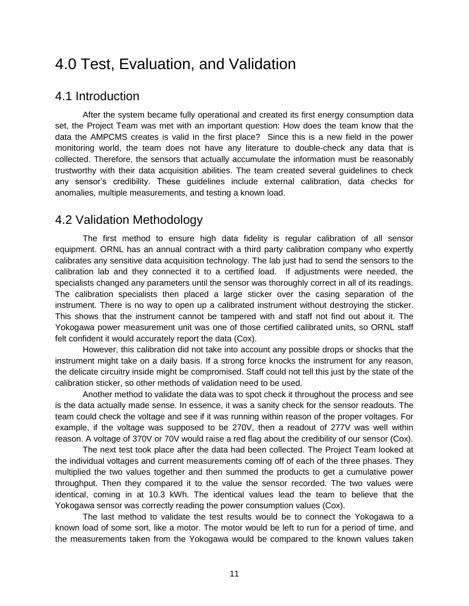## 4.0 Test, Evaluation, and Validation

#### 4.1 Introduction

After the system became fully operational and created its first energy consumption data set, the Project Team was met with an important question: How does the team know that the data the AMPCMS creates is valid in the first place? Since this is a new field in the power monitoring world, the team does not have any literature to double-check any data that is collected. Therefore, the sensors that actually accumulate the information must be reasonably trustworthy with their data acquisition abilities. The team created several guidelines to check any sensor's credibility. These guidelines include external calibration, data checks for anomalies, multiple measurements, and testing a known load.

## 4.2 Validation Methodology

The first method to ensure high data fidelity is regular calibration of all sensor equipment. ORNL has an annual contract with a third party calibration company who expertly calibrates any sensitive data acquisition technology. The lab just had to send the sensors to the calibration lab and they connected it to a certified load. If adjustments were needed, the specialists changed any parameters until the sensor was thoroughly correct in all of its readings. The calibration specialists then placed a large sticker over the casing separation of the instrument. There is no way to open up a calibrated instrument without destroying the sticker. This shows that the instrument cannot be tampered with and staff not find out about it. The Yokogawa power measurement unit was one of those certified calibrated units, so ORNL staff felt confident it would accurately report the data (Cox).

 However, this calibration did not take into account any possible drops or shocks that the instrument might take on a daily basis. If a strong force knocks the instrument for any reason, the delicate circuitry inside might be compromised. Staff could not tell this just by the state of the calibration sticker, so other methods of validation need to be used.

 Another method to validate the data was to spot check it throughout the process and see is the data actually made sense. In essence, it was a sanity check for the sensor readouts. The team could check the voltage and see if it was running within reason of the proper voltages. For example, if the voltage was supposed to be 270V, then a readout of 277V was well within reason. A voltage of 370V or 70V would raise a red flag about the credibility of our sensor (Cox).

 The next test took place after the data had been collected. The Project Team looked at the individual voltages and current measurements coming off of each of the three phases. They multiplied the two values together and then summed the products to get a cumulative power throughput. Then they compared it to the value the sensor recorded. The two values were identical, coming in at 10.3 kWh. The identical values lead the team to believe that the Yokogawa sensor was correctly reading the power consumption values (Cox).

 The last method to validate the test results would be to connect the Yokogawa to a known load of some sort, like a motor. The motor would be left to run for a period of time, and the measurements taken from the Yokogawa would be compared to the known values taken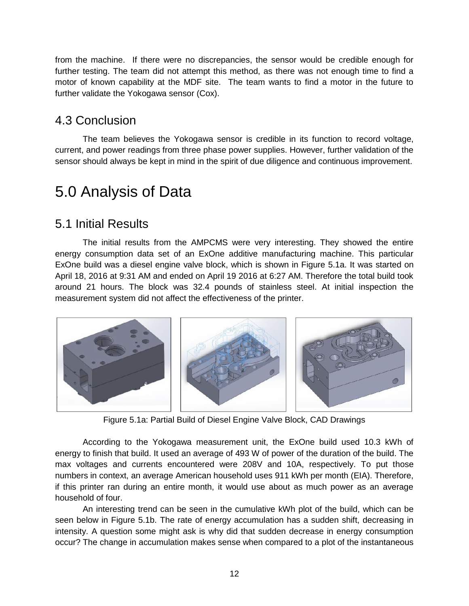from the machine. If there were no discrepancies, the sensor would be credible enough for further testing. The team did not attempt this method, as there was not enough time to find a motor of known capability at the MDF site. The team wants to find a motor in the future to further validate the Yokogawa sensor (Cox).

## 4.3 Conclusion

The team believes the Yokogawa sensor is credible in its function to record voltage, current, and power readings from three phase power supplies. However, further validation of the sensor should always be kept in mind in the spirit of due diligence and continuous improvement.

## 5.0 Analysis of Data

### 5.1 Initial Results

The initial results from the AMPCMS were very interesting. They showed the entire energy consumption data set of an ExOne additive manufacturing machine. This particular ExOne build was a diesel engine valve block, which is shown in Figure 5.1a. It was started on April 18, 2016 at 9:31 AM and ended on April 19 2016 at 6:27 AM. Therefore the total build took around 21 hours. The block was 32.4 pounds of stainless steel. At initial inspection the measurement system did not affect the effectiveness of the printer.



Figure 5.1a: Partial Build of Diesel Engine Valve Block, CAD Drawings

According to the Yokogawa measurement unit, the ExOne build used 10.3 kWh of energy to finish that build. It used an average of 493 W of power of the duration of the build. The max voltages and currents encountered were 208V and 10A, respectively. To put those numbers in context, an average American household uses 911 kWh per month (EIA). Therefore, if this printer ran during an entire month, it would use about as much power as an average household of four.

An interesting trend can be seen in the cumulative kWh plot of the build, which can be seen below in Figure 5.1b. The rate of energy accumulation has a sudden shift, decreasing in intensity. A question some might ask is why did that sudden decrease in energy consumption occur? The change in accumulation makes sense when compared to a plot of the instantaneous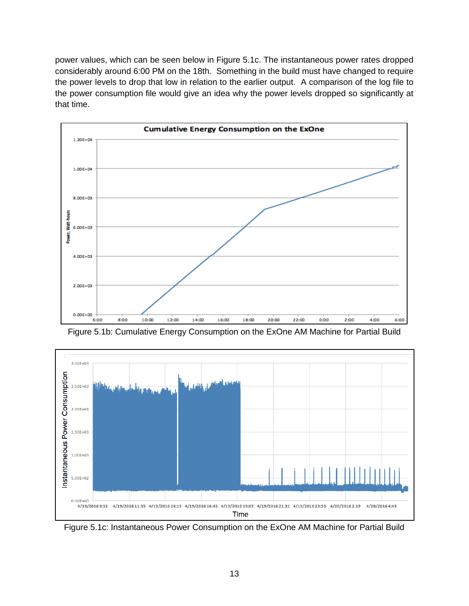power values, which can be seen below in Figure 5.1c. The instantaneous power rates dropped considerably around 6:00 PM on the 18th. Something in the build must have changed to require the power levels to drop that low in relation to the earlier output. A comparison of the log file to the power consumption file would give an idea why the power levels dropped so significantly at that time.







Figure 5.1c: Instantaneous Power Consumption on the ExOne AM Machine for Partial Build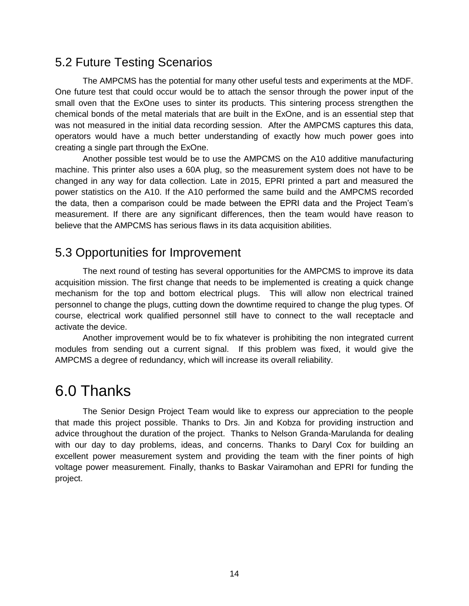## 5.2 Future Testing Scenarios

The AMPCMS has the potential for many other useful tests and experiments at the MDF. One future test that could occur would be to attach the sensor through the power input of the small oven that the ExOne uses to sinter its products. This sintering process strengthen the chemical bonds of the metal materials that are built in the ExOne, and is an essential step that was not measured in the initial data recording session. After the AMPCMS captures this data, operators would have a much better understanding of exactly how much power goes into creating a single part through the ExOne.

Another possible test would be to use the AMPCMS on the A10 additive manufacturing machine. This printer also uses a 60A plug, so the measurement system does not have to be changed in any way for data collection. Late in 2015, EPRI printed a part and measured the power statistics on the A10. If the A10 performed the same build and the AMPCMS recorded the data, then a comparison could be made between the EPRI data and the Project Team's measurement. If there are any significant differences, then the team would have reason to believe that the AMPCMS has serious flaws in its data acquisition abilities.

### 5.3 Opportunities for Improvement

The next round of testing has several opportunities for the AMPCMS to improve its data acquisition mission. The first change that needs to be implemented is creating a quick change mechanism for the top and bottom electrical plugs. This will allow non electrical trained personnel to change the plugs, cutting down the downtime required to change the plug types. Of course, electrical work qualified personnel still have to connect to the wall receptacle and activate the device.

Another improvement would be to fix whatever is prohibiting the non integrated current modules from sending out a current signal. If this problem was fixed, it would give the AMPCMS a degree of redundancy, which will increase its overall reliability.

## 6.0 Thanks

The Senior Design Project Team would like to express our appreciation to the people that made this project possible. Thanks to Drs. Jin and Kobza for providing instruction and advice throughout the duration of the project. Thanks to Nelson Granda-Marulanda for dealing with our day to day problems, ideas, and concerns. Thanks to Daryl Cox for building an excellent power measurement system and providing the team with the finer points of high voltage power measurement. Finally, thanks to Baskar Vairamohan and EPRI for funding the project.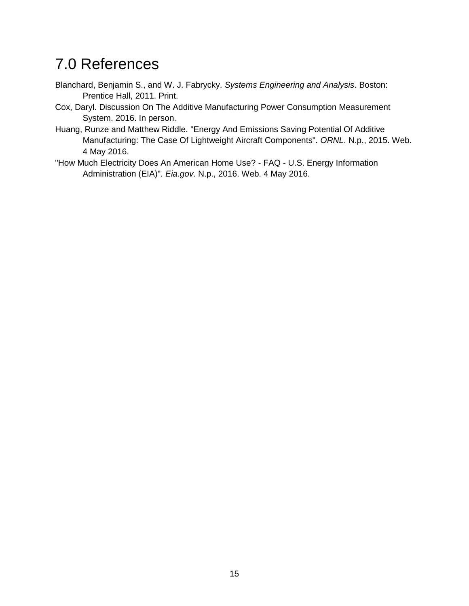## 7.0 References

- Blanchard, Benjamin S., and W. J. Fabrycky. *Systems Engineering and Analysis*. Boston: Prentice Hall, 2011. Print.
- Cox, Daryl. Discussion On The Additive Manufacturing Power Consumption Measurement System. 2016. In person.
- Huang, Runze and Matthew Riddle. "Energy And Emissions Saving Potential Of Additive Manufacturing: The Case Of Lightweight Aircraft Components". *ORNL*. N.p., 2015. Web. 4 May 2016.
- "How Much Electricity Does An American Home Use? FAQ U.S. Energy Information Administration (EIA)". *Eia.gov*. N.p., 2016. Web. 4 May 2016.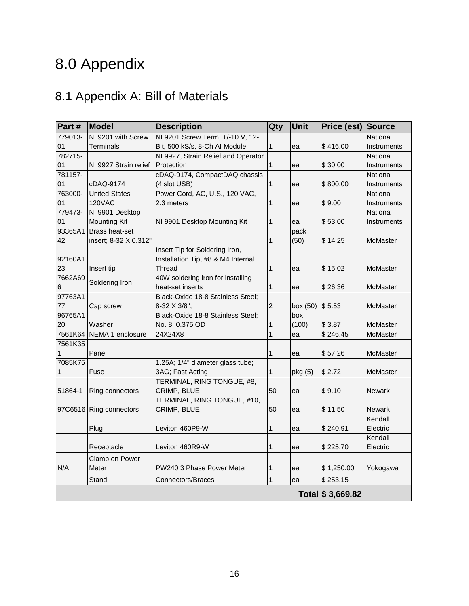# 8.0 Appendix

## 8.1 Appendix A: Bill of Materials

| Part #  | Model                 | <b>Description</b>                  | Qty            | Unit     | Price (est)       | Source          |
|---------|-----------------------|-------------------------------------|----------------|----------|-------------------|-----------------|
| 779013- | NI 9201 with Screw    | NI 9201 Screw Term, +/-10 V, 12-    |                |          |                   | National        |
| 01      | Terminals             | Bit, 500 kS/s, 8-Ch Al Module       | 1              | ea       | \$416.00          | Instruments     |
| 782715- |                       | NI 9927, Strain Relief and Operator |                |          |                   | National        |
| 01      | NI 9927 Strain relief | Protection                          | 1              | ea       | \$30.00           | Instruments     |
| 781157- |                       | cDAQ-9174, CompactDAQ chassis       |                |          |                   | National        |
| 01      | cDAQ-9174             | (4 slot USB)                        | 1              | ea       | \$800.00          | Instruments     |
| 763000- | <b>United States</b>  | Power Cord, AC, U.S., 120 VAC,      |                |          |                   | National        |
| 01      | <b>120VAC</b>         | 2.3 meters                          | 1              | ea       | \$9.00            | Instruments     |
| 779473- | NI 9901 Desktop       |                                     |                |          |                   | National        |
| 01      | <b>Mounting Kit</b>   | NI 9901 Desktop Mounting Kit        | 1              | ea       | \$53.00           | Instruments     |
| 93365A1 | <b>Brass heat-set</b> |                                     |                | pack     |                   |                 |
| 42      | insert; 8-32 X 0.312" |                                     | 1              | (50)     | \$14.25           | <b>McMaster</b> |
|         |                       | Insert Tip for Soldering Iron,      |                |          |                   |                 |
| 92160A1 |                       | Installation Tip, #8 & M4 Internal  |                |          |                   |                 |
| 23      | Insert tip            | Thread                              | 1              | ea       | \$15.02           | <b>McMaster</b> |
| 7662A69 | Soldering Iron        | 40W soldering iron for installing   |                |          |                   |                 |
| 6       |                       | heat-set inserts                    | 1              | ea       | \$26.36           | <b>McMaster</b> |
| 97763A1 |                       | Black-Oxide 18-8 Stainless Steel;   |                |          |                   |                 |
| 77      | Cap screw             | 8-32 X 3/8";                        | 2              | box (50) | \$5.53            | <b>McMaster</b> |
| 96765A1 |                       | Black-Oxide 18-8 Stainless Steel;   |                | box      |                   |                 |
| 20      | Washer                | No. 8; 0.375 OD                     | 1              | (100)    | \$3.87            | <b>McMaster</b> |
| 7561K64 | NEMA 1 enclosure      | 24X24X8                             | 1              | ea       | \$246.45          | McMaster        |
| 7561K35 |                       |                                     |                |          |                   |                 |
| 1       | Panel                 |                                     | 1              | ea       | \$57.26           | <b>McMaster</b> |
| 7085K75 |                       | 1.25A; 1/4" diameter glass tube;    |                |          |                   |                 |
|         | Fuse                  | 3AG; Fast Acting                    | 1              | pkg (5)  | \$2.72            | <b>McMaster</b> |
|         |                       | TERMINAL, RING TONGUE, #8,          |                |          |                   |                 |
| 51864-1 | Ring connectors       | CRIMP, BLUE                         | 50             | ea       | \$9.10            | <b>Newark</b>   |
|         |                       | TERMINAL, RING TONGUE, #10,         |                |          |                   |                 |
| 97C6516 | Ring connectors       | CRIMP, BLUE                         | 50             | ea       | \$11.50           | <b>Newark</b>   |
|         |                       |                                     |                |          |                   | Kendall         |
|         | Plug                  | Leviton 460P9-W                     | 1              | ea       | \$240.91          | Electric        |
|         |                       |                                     |                |          |                   | Kendall         |
|         | Receptacle            | Leviton 460R9-W                     | 1              | ea       | \$225.70          | Electric        |
|         | Clamp on Power        |                                     |                |          |                   |                 |
| N/A     | Meter                 | PW240 3 Phase Power Meter           | 1              | ea       | \$1,250.00        | Yokogawa        |
|         | Stand                 | Connectors/Braces                   | $\overline{1}$ | ea       | \$253.15          |                 |
|         |                       |                                     |                |          | Total \$ 3,669.82 |                 |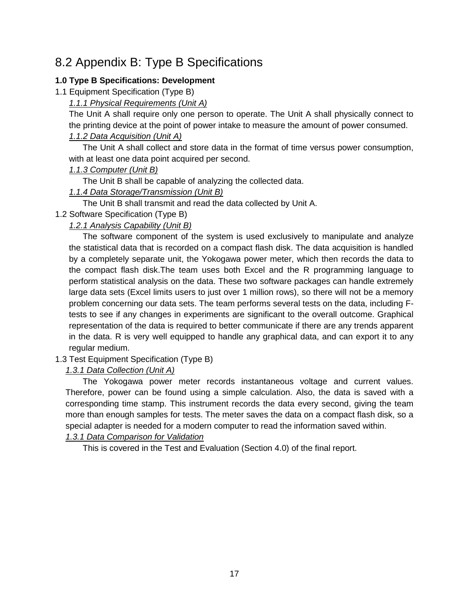## 8.2 Appendix B: Type B Specifications

#### **1.0 Type B Specifications: Development**

1.1 Equipment Specification (Type B)

*1.1.1 Physical Requirements (Unit A)*

The Unit A shall require only one person to operate. The Unit A shall physically connect to the printing device at the point of power intake to measure the amount of power consumed.

#### *1.1.2 Data Acquisition (Unit A)*

The Unit A shall collect and store data in the format of time versus power consumption, with at least one data point acquired per second.

#### *1.1.3 Computer (Unit B)*

The Unit B shall be capable of analyzing the collected data.

#### *1.1.4 Data Storage/Transmission (Unit B)*

The Unit B shall transmit and read the data collected by Unit A.

#### 1.2 Software Specification (Type B)

#### *1.2.1 Analysis Capability (Unit B)*

The software component of the system is used exclusively to manipulate and analyze the statistical data that is recorded on a compact flash disk. The data acquisition is handled by a completely separate unit, the Yokogawa power meter, which then records the data to the compact flash disk.The team uses both Excel and the R programming language to perform statistical analysis on the data. These two software packages can handle extremely large data sets (Excel limits users to just over 1 million rows), so there will not be a memory problem concerning our data sets. The team performs several tests on the data, including Ftests to see if any changes in experiments are significant to the overall outcome. Graphical representation of the data is required to better communicate if there are any trends apparent in the data. R is very well equipped to handle any graphical data, and can export it to any regular medium.

1.3 Test Equipment Specification (Type B)

#### *1.3.1 Data Collection (Unit A)*

The Yokogawa power meter records instantaneous voltage and current values. Therefore, power can be found using a simple calculation. Also, the data is saved with a corresponding time stamp. This instrument records the data every second, giving the team more than enough samples for tests. The meter saves the data on a compact flash disk, so a special adapter is needed for a modern computer to read the information saved within.

#### *1.3.1 Data Comparison for Validation*

This is covered in the Test and Evaluation (Section 4.0) of the final report.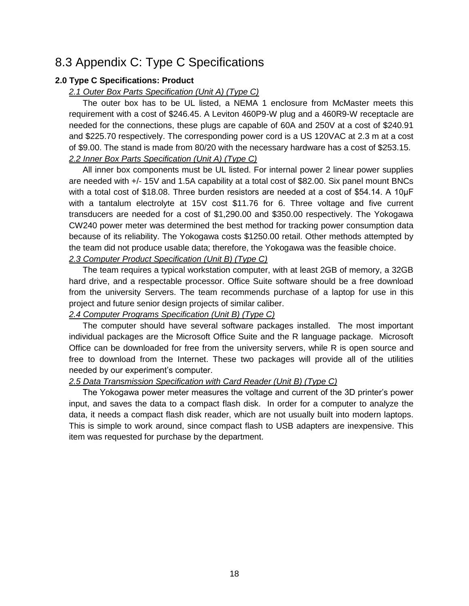## 8.3 Appendix C: Type C Specifications

#### **2.0 Type C Specifications: Product**

#### *2.1 Outer Box Parts Specification (Unit A) (Type C)*

The outer box has to be UL listed, a NEMA 1 enclosure from McMaster meets this requirement with a cost of \$246.45. A Leviton 460P9-W plug and a 460R9-W receptacle are needed for the connections, these plugs are capable of 60A and 250V at a cost of \$240.91 and \$225.70 respectively. The corresponding power cord is a US 120VAC at 2.3 m at a cost of \$9.00. The stand is made from 80/20 with the necessary hardware has a cost of \$253.15. *2.2 Inner Box Parts Specification (Unit A) (Type C)*

#### All inner box components must be UL listed. For internal power 2 linear power supplies are needed with +/- 15V and 1.5A capability at a total cost of \$82.00. Six panel mount BNCs with a total cost of \$18.08. Three burden resistors are needed at a cost of \$54.14. A 10µF with a tantalum electrolyte at 15V cost \$11.76 for 6. Three voltage and five current transducers are needed for a cost of \$1,290.00 and \$350.00 respectively. The Yokogawa CW240 power meter was determined the best method for tracking power consumption data because of its reliability. The Yokogawa costs \$1250.00 retail. Other methods attempted by the team did not produce usable data; therefore, the Yokogawa was the feasible choice.

#### *2.3 Computer Product Specification (Unit B) (Type C)*

The team requires a typical workstation computer, with at least 2GB of memory, a 32GB hard drive, and a respectable processor. Office Suite software should be a free download from the university Servers. The team recommends purchase of a laptop for use in this project and future senior design projects of similar caliber.

#### *2.4 Computer Programs Specification (Unit B) (Type C)*

The computer should have several software packages installed. The most important individual packages are the Microsoft Office Suite and the R language package. Microsoft Office can be downloaded for free from the university servers, while R is open source and free to download from the Internet. These two packages will provide all of the utilities needed by our experiment's computer.

#### *2.5 Data Transmission Specification with Card Reader (Unit B) (Type C)*

The Yokogawa power meter measures the voltage and current of the 3D printer's power input, and saves the data to a compact flash disk. In order for a computer to analyze the data, it needs a compact flash disk reader, which are not usually built into modern laptops. This is simple to work around, since compact flash to USB adapters are inexpensive. This item was requested for purchase by the department.